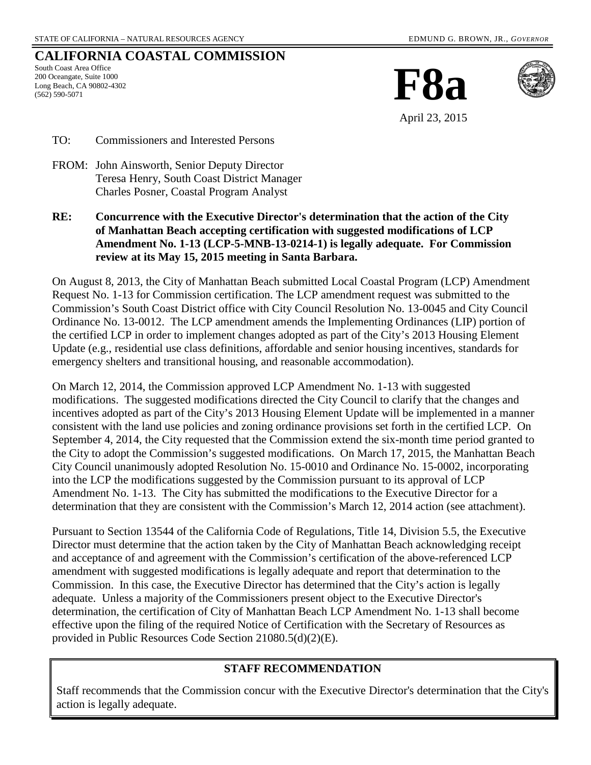# **CALIFORNIA COASTAL COMMISSION**

South Coast Area Office 200 Oceangate, Suite 1000 Long Beach, CA 90802-4302 (562) 590-5071





April 23, 2015

TO: Commissioners and Interested Persons

- FROM: John Ainsworth, Senior Deputy Director Teresa Henry, South Coast District Manager Charles Posner, Coastal Program Analyst
- **RE: Concurrence with the Executive Director's determination that the action of the City of Manhattan Beach accepting certification with suggested modifications of LCP Amendment No. 1-13 (LCP-5-MNB-13-0214-1) is legally adequate. For Commission review at its May 15, 2015 meeting in Santa Barbara.**

On August 8, 2013, the City of Manhattan Beach submitted Local Coastal Program (LCP) Amendment Request No. 1-13 for Commission certification. The LCP amendment request was submitted to the Commission's South Coast District office with City Council Resolution No. 13-0045 and City Council Ordinance No. 13-0012. The LCP amendment amends the Implementing Ordinances (LIP) portion of the certified LCP in order to implement changes adopted as part of the City's 2013 Housing Element Update (e.g., residential use class definitions, affordable and senior housing incentives, standards for emergency shelters and transitional housing, and reasonable accommodation).

On March 12, 2014, the Commission approved LCP Amendment No. 1-13 with suggested modifications. The suggested modifications directed the City Council to clarify that the changes and incentives adopted as part of the City's 2013 Housing Element Update will be implemented in a manner consistent with the land use policies and zoning ordinance provisions set forth in the certified LCP. On September 4, 2014, the City requested that the Commission extend the six-month time period granted to the City to adopt the Commission's suggested modifications. On March 17, 2015, the Manhattan Beach City Council unanimously adopted Resolution No. 15-0010 and Ordinance No. 15-0002, incorporating into the LCP the modifications suggested by the Commission pursuant to its approval of LCP Amendment No. 1-13. The City has submitted the modifications to the Executive Director for a determination that they are consistent with the Commission's March 12, 2014 action (see attachment).

Pursuant to Section 13544 of the California Code of Regulations, Title 14, Division 5.5, the Executive Director must determine that the action taken by the City of Manhattan Beach acknowledging receipt and acceptance of and agreement with the Commission's certification of the above-referenced LCP amendment with suggested modifications is legally adequate and report that determination to the Commission. In this case, the Executive Director has determined that the City's action is legally adequate. Unless a majority of the Commissioners present object to the Executive Director's determination, the certification of City of Manhattan Beach LCP Amendment No. 1-13 shall become effective upon the filing of the required Notice of Certification with the Secretary of Resources as provided in Public Resources Code Section 21080.5(d)(2)(E).

## **STAFF RECOMMENDATION**

Staff recommends that the Commission concur with the Executive Director's determination that the City's action is legally adequate.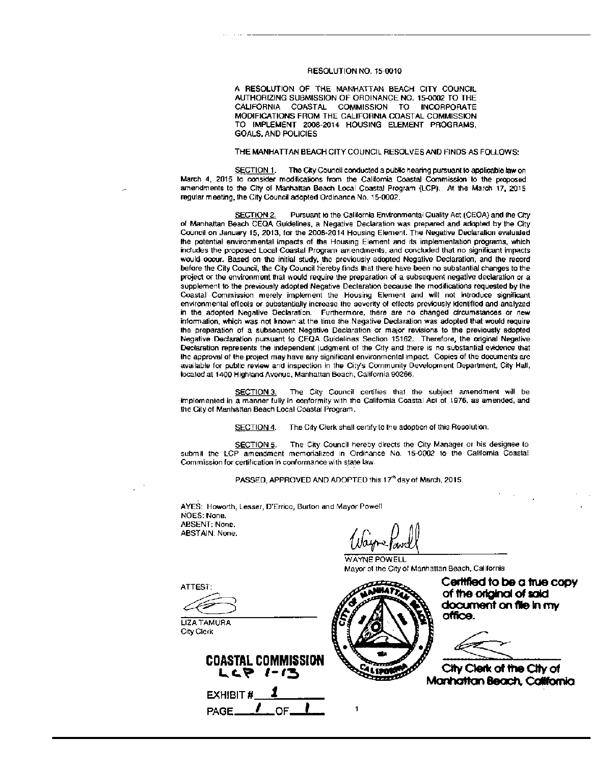#### RESOLUTION NO. 15-0010

A RESOLUTION OF THE MANHATTAN BEACH CITY COUNCIL AUTHORIZING SUBMISSION OF ORDINANCE NO. 15-0002 TO THE CALIFORNIA COASTAL COMMISSION TO INCORPORATE MODIFICATIONS FROM THE CALIFORNIA COASTAL COMMISSION TO IMPLEMENT 2008-2014 HOUSING ELEMENT PROGRAMS. **GOALS, AND POLICIES** 

## THE MANHATTAN BEACH CITY COUNCIL RESOLVES AND FINDS AS FOLLOWS:

SECTION 1. The City Council conducted a public hearing pursuant to applicable law on March 4, 2015 to consider modifications from the California Coastal Commission to the proposed amendments to the City of Manhattan Beach Local Coastal Program (LCP). At the March 17, 2015 regular meeting, the City Council adopted Ordinance No. 15-0002.

SECTION 2. Pursuant to the California Environmental Quality Act (CEOA) and the City of Manhattan Beach CEQA Guidelines, a Negative Declaration was prepared and adopted by the City Council on January 15, 2013, for the 2008-2014 Housing Element. The Negative Declaration evaluated the potential environmental impacts of the Housing Element and its implementation programs, which includes the proposed Local Coastal Program amendments, and concluded that no significant impacts would occur. Based on the initial study, the previously adopted Negative Declaration, and the record before the City Council, the City Council hereby finds that there have been no substantial changes to the project or the environment that would require the preparation of a subsequent negative declaration or a supplement to the previously adopted Negative Declaration because the modifications requested by the Coastal Commission merely implement the Housing Element and will not introduce significant environmental effects or substantially increase the severity of effects previously identified and analyzed in the adopted Negalive Declaration. Furthermore, there are no changed circumstances or new information, which was not known at the time the Negative Declaration was adopted that would require the preparation of a subsequent Negative Declaration or major revisions to the previously adopted Negative Declaration pursuant to CEQA Guidelines Section 15162. Therefore, the original Negative Declaration represents the independent judgment of the City and there is no substantial evidence that the approval of the project may have any significant environmental impact. Copies of the documents are available for public review and inspection in the City's Community Development Department, City Hall, located at 1400 Highland Avenue, Manhattan Beach, California 90266.

The City Council certifies that the subject amendment will be SECTION 3. implemented in a manner fully in conformity with the California Coastal Act of 1976, as amended, and the City of Manhattan Beach Local Coastal Program.

> SECTION 4. The City Clerk shall certify to the adoption of this Resolution.

SECTION 5. The City Council hereby directs the City Manager or his designee to submit the LCP amendment memorialized in Ordinance No. 15-0002 to the California Coastal Commission for certification in conformance with state law.

PASSED, APPROVED AND ADOPTED this 17<sup>th</sup> day of March, 2015.

AYES: Howorth, Lesser, D'Errico, Burton and Mayor Powell NOES: None. ABSENT: None. ABSTAIN: None.

WAYNE POWELL Mayor of the City of Manhattan Beach, California

**ATTEST:** 

**LIZA TAMURA** City Clerk



 $PAGE$ 



Cerified to be a true copy of the original of said document on file in my office.

City Clerk of the City of Manhattan Beach, California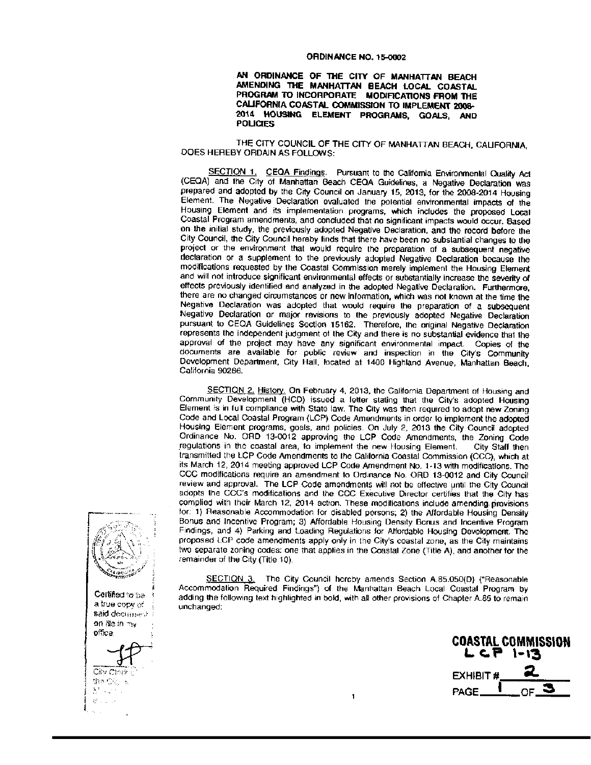#### ORDINANCE NO. 15-0002

### AN ORDINANCE OF THE CITY OF MANHATTAN BEACH AMENDING THE MANHATTAN BEACH LOCAL COASTAL PROGRAM TO INCORPORATE MODIFICATIONS FROM THE CALIFORNIA COASTAL COMMISSION TO IMPLEMENT 2008-2014 HOUSING ELEMENT PROGRAMS, GOALS, AND **POLICIES**

## THE CITY COUNCIL OF THE CITY OF MANHATTAN BEACH, CALIFORNIA. DOES HEREBY ORDAIN AS FOLLOWS:

SECTION 1. CEQA Findings. Pursuant to the California Environmental Quality Act (CEQA) and the City of Manhattan Beach CEQA Guidelines, a Negative Declaration was prepared and adopted by the City Council on January 15, 2013, for the 2008-2014 Housing Element. The Negative Declaration evaluated the potential environmental impacts of the Housing Element and its implementation programs, which includes the proposed Local Coastal Program amendments, and concluded that no significant impacts would occur. Based on the initial study, the previously adopted Negative Declaration, and the record before the City Council, the City Council hereby finds that there have been no substantial changes to the project or the environment that would require the preparation of a subsequent negative declaration or a supplement to the previously adopted Negative Declaration because the modifications requested by the Coastal Commission merely implement the Housing Element and will not introduce significant environmental effects or substantially increase the severity of effects previously identified and analyzed in the adopted Negative Declaration. Furthermore, there are no changed circumstances or new information, which was not known at the time the Negative Declaration was adopted that would require the preparation of a subsequent Negative Declaration or major revisions to the previously adopted Negative Declaration pursuant to CEOA Guidelines Section 15162. Therefore, the original Negative Declaration represents the independent judgment of the City and there is no substantial evidence that the approval of the project may have any significant environmental impact. Copies of the documents are available for public review and inspection in the City's Community Development Department, City Hall, located at 1400 Highland Avenue, Manhattan Beach, California 90266.

SECTION 2. History. On February 4, 2013, the California Department of Housing and Community Development (HCD) issued a letter stating that the City's adopted Housing Element is in full compliance with State law. The City was then required to adopt new Zoning Code and Local Coastal Program (LCP) Code Amendments in order to implement the adopted Housing Element programs, goals, and policies. On July 2, 2013 the City Council adopted Ordinance No. ORD 13-0012 approving the LCP Code Amendments, the Zoning Code regulations in the coastal area, to implement the new Housing Element. City Staff then transmitted the LCP Code Amendments to the California Coastal Commission (CCC), which at its March 12, 2014 meeting approved LCP Code Amendment No. 1-13 with modifications. The CCC modifications require an amendment to Ordinance No. ORD 13-0012 and City Council review and approval. The LCP Code amendments will not be effective until the City Council adopts the CCC's modifications and the CCC Executive Director certifies that the City has complied with their March 12, 2014 action. These modifications include amending provisions for: 1) Reasonable Accommodation for disabled persons; 2) the Affordable Housing Density Bonus and Incentive Program; 3) Affordable Housing Density Bonus and Incentive Program Findings, and 4) Parking and Loading Regulations for Affordable Housing Development. The proposed LCP code amendments apply only in the City's coastal zone, as the City maintains two separate zoning codes: one that applies in the Coastal Zone (Title A), and another for the remainder of the City (Title 10).

SECTION 3. The City Council hereby amends Section A.85.050(D) ("Reasonable Accommodation Required Findings") of the Manhattan Beach Local Coastal Program by adding the following text highlighted in bold, with all other provisions of Chapter A.85 to remain unchanged:

 $\mathbf{1}$ 

**COASTAL COMMISSION** L CP 1-13 **EXHIBIT#** -1 PAGE\_ ΟF

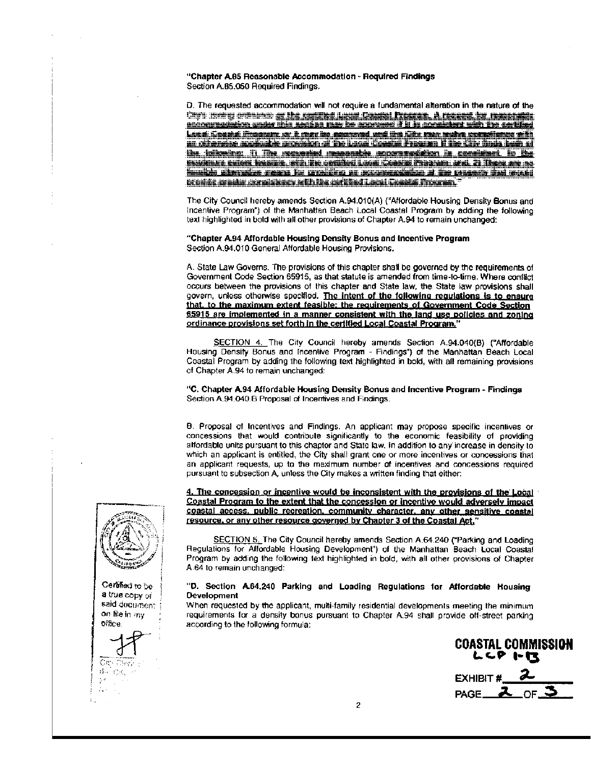"Chapter A.85 Reasonable Accommodation - Required Findings Section A.85.050 Required Findings.

D. The requested accommodation will not require a fundamental alteration in the nature of the Capti meety collection of the septime limit. Constal, France, A results, he respectively Local Gousial Program, at A may be asserted and the Giv. one wake upon firms of h an cherebe archaele any sko that Coace Freeze five the the tell tell th <u>ka jaikering. Ji The movement massakk postansfrien is consideri. It the</u> <u>Progenare, grovel (Problem, Jefer, 200 Jacobball Carant) (Crosson (Progenare, Brall, 2), (These, any 183</u> imelika diangkilan mengajita pada bagi nagawan sekitar pada tanggalan taut menjadi ktoria meda ako jakota eth be arkhet Local Grenel Creach.

The City Council hereby amends Section A.94.010(A) ("Affordable Housing Density Bonus and Incentive Program") of the Manhattan Beach Local Coastal Program by adding the following text highlighted in bold with all other provisions of Chapter A.94 to remain unchanged:

"Chapter A.94 Affordable Housing Density Bonus and Incentive Program Section A.94.010 General Affordable Housing Provisions.

A. State Law Governs. The provisions of this chapter shall be governed by the requirements of Government Code Section 65915, as that statute is amended from time-to-time. Where conflict occurs between the provisions of this chapter and State law, the State law provisions shall govern, unless otherwise specified. The intent of the following regulations is to ensure that, to the maximum extent feasible: the requirements of Government Code Section 65915 are implemented in a manner consistent with the land use policies and zoning ordinance provisions set forth in the certified Local Coastal Program.'

SECTION 4. The City Council hereby amends Section A.94.040(B) ("Affordable Housing Density Bonus and Incentive Program - Findings") of the Manhattan Beach Local Coastal Program by adding the following text highlighted in bold, with all remaining provisions of Chapter A.94 to remain unchanged:

"C. Chapter A.94 Affordable Housing Density Bonus and Incentive Program - Findings Section A.94.040.B Proposal of Incentives and Findings.

B. Proposal of Incentives and Findings. An applicant may propose specific incentives or concessions that would contribute significantly to the economic feasibility of providing alfordable units pursuant to this chapter and State law. In addition to any increase in density to which an applicant is entitled, the City shall grant one or more incentives or concessions that an applicant requests, up to the maximum number of incentives and concessions required pursuant to subsection A, unless the City makes a written finding that either:

4. The concession or incentive would be inconsistent with the provisions of the Local Coastal Program to the extent that the concession or incentive would adversely impact coastal access, public recreation, community character, any other sensitive coastal resource, or any other resource governed by Chapter 3 of the Coastal Act,"

SECTION 5. The City Council hereby amends Section A.64.240 ("Parking and Loading Regulations for Affordable Housing Development") of the Manhattan Beach Local Coastal Program by adding the following text highlighted in bold, with all other provisions of Chapter A.64 to remain unchanged:

## "D. Section A.64.240 Parking and Loading Regulations for Affordable Housing **Development**

When requested by the applicant, multi-family residential developments meeting the minimum requirements for a density bonus pursuant to Chapter A.94 shall provide off-street parking according to the following formula:

**COASTAL COMMISSION** レンア トス

EXHIBIT # PAGE<sub> $-$ 2</sub> ∩ਸ ⊐



said document on file in my oñee

Cm.  $5 - C\delta$  $\frac{1}{2}$   $\theta$